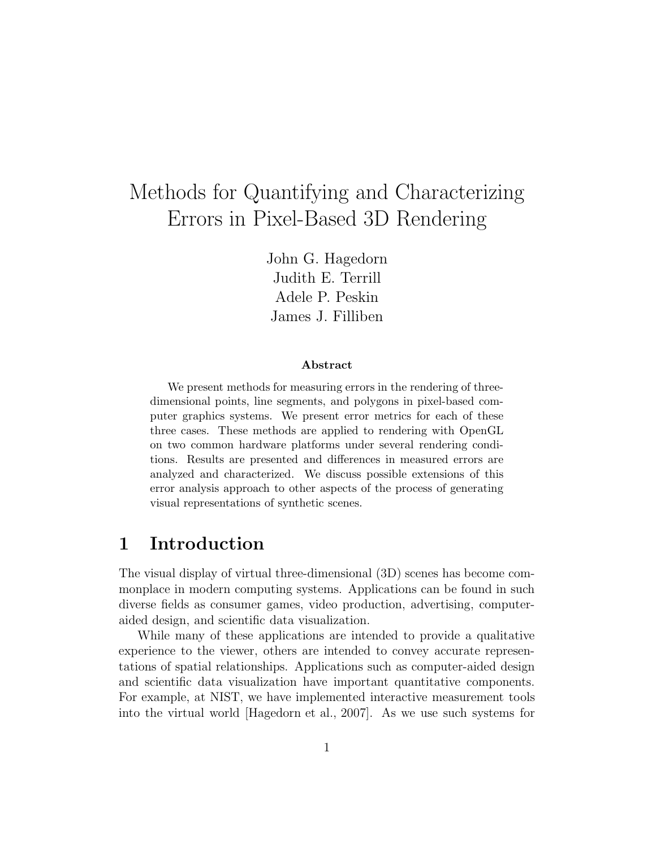# Methods for Quantifying and Characterizing Errors in Pixel-Based 3D Rendering

John G. Hagedorn Judith E. Terrill Adele P. Peskin James J. Filliben

#### Abstract

We present methods for measuring errors in the rendering of threedimensional points, line segments, and polygons in pixel-based computer graphics systems. We present error metrics for each of these three cases. These methods are applied to rendering with OpenGL on two common hardware platforms under several rendering conditions. Results are presented and differences in measured errors are analyzed and characterized. We discuss possible extensions of this error analysis approach to other aspects of the process of generating visual representations of synthetic scenes.

# 1 Introduction

The visual display of virtual three-dimensional (3D) scenes has become commonplace in modern computing systems. Applications can be found in such diverse fields as consumer games, video production, advertising, computeraided design, and scientific data visualization.

While many of these applications are intended to provide a qualitative experience to the viewer, others are intended to convey accurate representations of spatial relationships. Applications such as computer-aided design and scientific data visualization have important quantitative components. For example, at NIST, we have implemented interactive measurement tools into the virtual world [Hagedorn et al., 2007]. As we use such systems for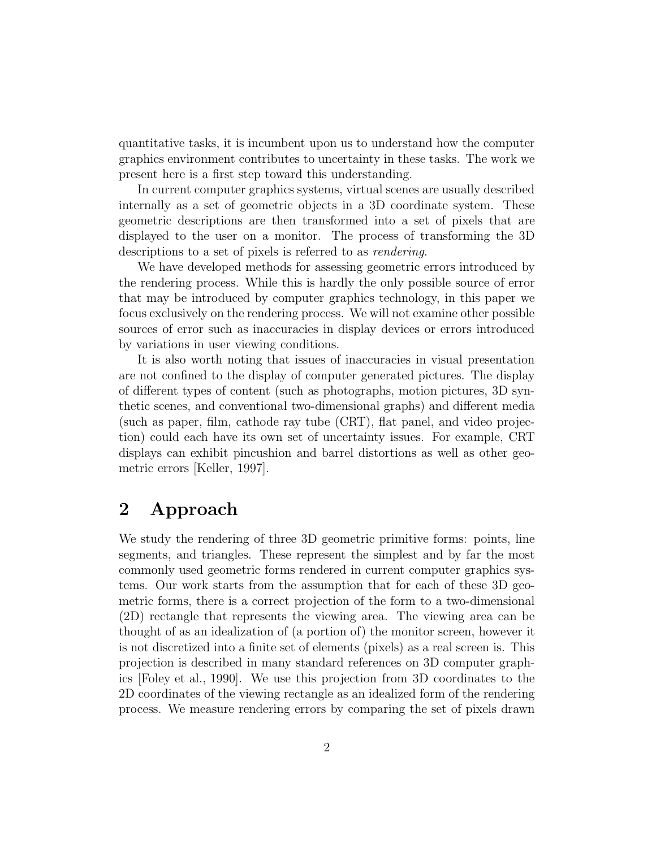quantitative tasks, it is incumbent upon us to understand how the computer graphics environment contributes to uncertainty in these tasks. The work we present here is a first step toward this understanding.

In current computer graphics systems, virtual scenes are usually described internally as a set of geometric objects in a 3D coordinate system. These geometric descriptions are then transformed into a set of pixels that are displayed to the user on a monitor. The process of transforming the 3D descriptions to a set of pixels is referred to as rendering.

We have developed methods for assessing geometric errors introduced by the rendering process. While this is hardly the only possible source of error that may be introduced by computer graphics technology, in this paper we focus exclusively on the rendering process. We will not examine other possible sources of error such as inaccuracies in display devices or errors introduced by variations in user viewing conditions.

It is also worth noting that issues of inaccuracies in visual presentation are not confined to the display of computer generated pictures. The display of different types of content (such as photographs, motion pictures, 3D synthetic scenes, and conventional two-dimensional graphs) and different media (such as paper, film, cathode ray tube (CRT), flat panel, and video projection) could each have its own set of uncertainty issues. For example, CRT displays can exhibit pincushion and barrel distortions as well as other geometric errors [Keller, 1997].

# 2 Approach

We study the rendering of three 3D geometric primitive forms: points, line segments, and triangles. These represent the simplest and by far the most commonly used geometric forms rendered in current computer graphics systems. Our work starts from the assumption that for each of these 3D geometric forms, there is a correct projection of the form to a two-dimensional (2D) rectangle that represents the viewing area. The viewing area can be thought of as an idealization of (a portion of) the monitor screen, however it is not discretized into a finite set of elements (pixels) as a real screen is. This projection is described in many standard references on 3D computer graphics [Foley et al., 1990]. We use this projection from 3D coordinates to the 2D coordinates of the viewing rectangle as an idealized form of the rendering process. We measure rendering errors by comparing the set of pixels drawn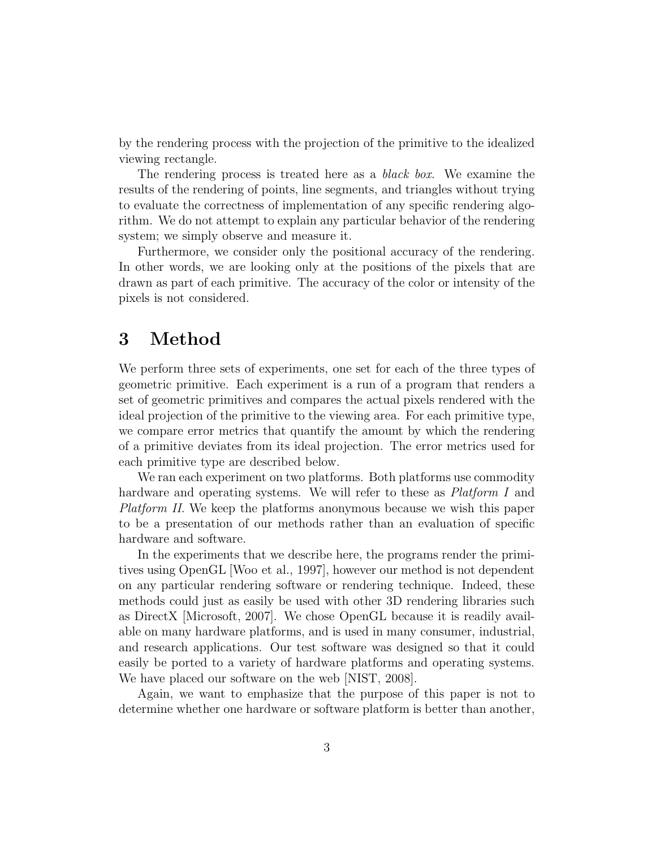by the rendering process with the projection of the primitive to the idealized viewing rectangle.

The rendering process is treated here as a *black box*. We examine the results of the rendering of points, line segments, and triangles without trying to evaluate the correctness of implementation of any specific rendering algorithm. We do not attempt to explain any particular behavior of the rendering system; we simply observe and measure it.

Furthermore, we consider only the positional accuracy of the rendering. In other words, we are looking only at the positions of the pixels that are drawn as part of each primitive. The accuracy of the color or intensity of the pixels is not considered.

# 3 Method

We perform three sets of experiments, one set for each of the three types of geometric primitive. Each experiment is a run of a program that renders a set of geometric primitives and compares the actual pixels rendered with the ideal projection of the primitive to the viewing area. For each primitive type, we compare error metrics that quantify the amount by which the rendering of a primitive deviates from its ideal projection. The error metrics used for each primitive type are described below.

We ran each experiment on two platforms. Both platforms use commodity hardware and operating systems. We will refer to these as *Platform I* and Platform II. We keep the platforms anonymous because we wish this paper to be a presentation of our methods rather than an evaluation of specific hardware and software.

In the experiments that we describe here, the programs render the primitives using OpenGL [Woo et al., 1997], however our method is not dependent on any particular rendering software or rendering technique. Indeed, these methods could just as easily be used with other 3D rendering libraries such as DirectX [Microsoft, 2007]. We chose OpenGL because it is readily available on many hardware platforms, and is used in many consumer, industrial, and research applications. Our test software was designed so that it could easily be ported to a variety of hardware platforms and operating systems. We have placed our software on the web [NIST, 2008].

Again, we want to emphasize that the purpose of this paper is not to determine whether one hardware or software platform is better than another,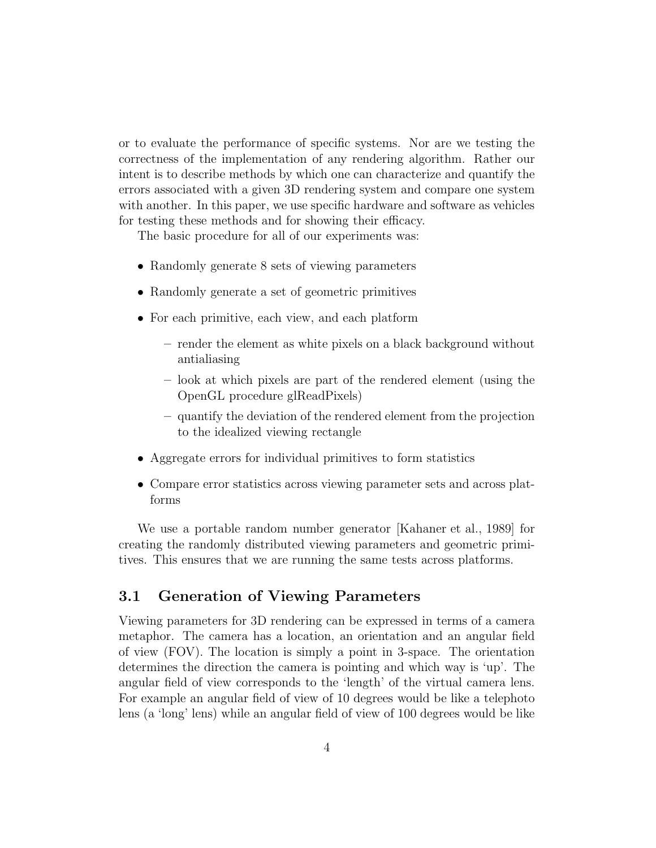or to evaluate the performance of specific systems. Nor are we testing the correctness of the implementation of any rendering algorithm. Rather our intent is to describe methods by which one can characterize and quantify the errors associated with a given 3D rendering system and compare one system with another. In this paper, we use specific hardware and software as vehicles for testing these methods and for showing their efficacy.

The basic procedure for all of our experiments was:

- Randomly generate 8 sets of viewing parameters
- Randomly generate a set of geometric primitives
- For each primitive, each view, and each platform
	- render the element as white pixels on a black background without antialiasing
	- look at which pixels are part of the rendered element (using the OpenGL procedure glReadPixels)
	- quantify the deviation of the rendered element from the projection to the idealized viewing rectangle
- Aggregate errors for individual primitives to form statistics
- Compare error statistics across viewing parameter sets and across platforms

We use a portable random number generator [Kahaner et al., 1989] for creating the randomly distributed viewing parameters and geometric primitives. This ensures that we are running the same tests across platforms.

### 3.1 Generation of Viewing Parameters

Viewing parameters for 3D rendering can be expressed in terms of a camera metaphor. The camera has a location, an orientation and an angular field of view (FOV). The location is simply a point in 3-space. The orientation determines the direction the camera is pointing and which way is 'up'. The angular field of view corresponds to the 'length' of the virtual camera lens. For example an angular field of view of 10 degrees would be like a telephoto lens (a 'long' lens) while an angular field of view of 100 degrees would be like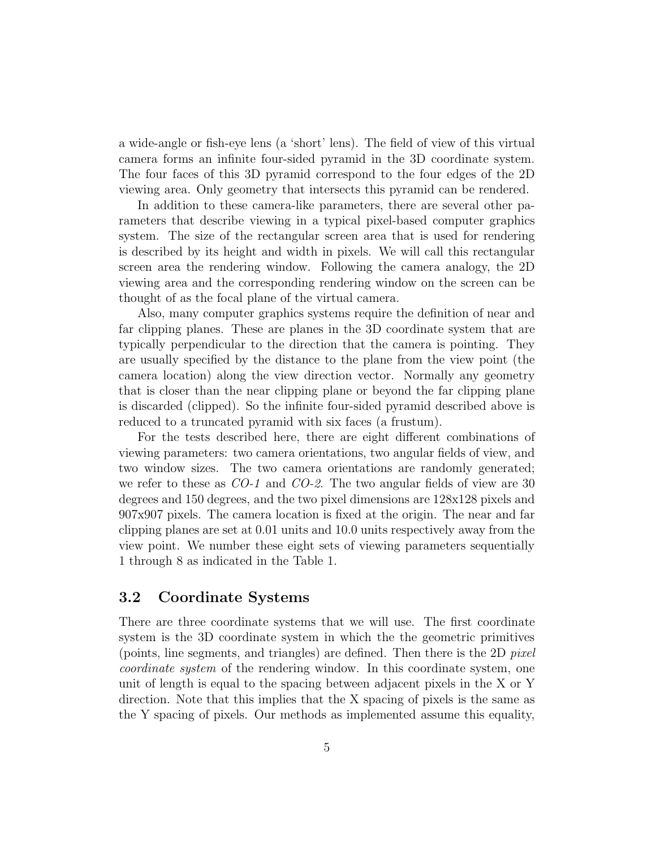a wide-angle or fish-eye lens (a 'short' lens). The field of view of this virtual camera forms an infinite four-sided pyramid in the 3D coordinate system. The four faces of this 3D pyramid correspond to the four edges of the 2D viewing area. Only geometry that intersects this pyramid can be rendered.

In addition to these camera-like parameters, there are several other parameters that describe viewing in a typical pixel-based computer graphics system. The size of the rectangular screen area that is used for rendering is described by its height and width in pixels. We will call this rectangular screen area the rendering window. Following the camera analogy, the 2D viewing area and the corresponding rendering window on the screen can be thought of as the focal plane of the virtual camera.

Also, many computer graphics systems require the definition of near and far clipping planes. These are planes in the 3D coordinate system that are typically perpendicular to the direction that the camera is pointing. They are usually specified by the distance to the plane from the view point (the camera location) along the view direction vector. Normally any geometry that is closer than the near clipping plane or beyond the far clipping plane is discarded (clipped). So the infinite four-sided pyramid described above is reduced to a truncated pyramid with six faces (a frustum).

For the tests described here, there are eight different combinations of viewing parameters: two camera orientations, two angular fields of view, and two window sizes. The two camera orientations are randomly generated; we refer to these as CO-1 and CO-2. The two angular fields of view are 30 degrees and 150 degrees, and the two pixel dimensions are 128x128 pixels and 907x907 pixels. The camera location is fixed at the origin. The near and far clipping planes are set at 0.01 units and 10.0 units respectively away from the view point. We number these eight sets of viewing parameters sequentially 1 through 8 as indicated in the Table 1.

### 3.2 Coordinate Systems

There are three coordinate systems that we will use. The first coordinate system is the 3D coordinate system in which the the geometric primitives (points, line segments, and triangles) are defined. Then there is the 2D pixel coordinate system of the rendering window. In this coordinate system, one unit of length is equal to the spacing between adjacent pixels in the X or Y direction. Note that this implies that the X spacing of pixels is the same as the Y spacing of pixels. Our methods as implemented assume this equality,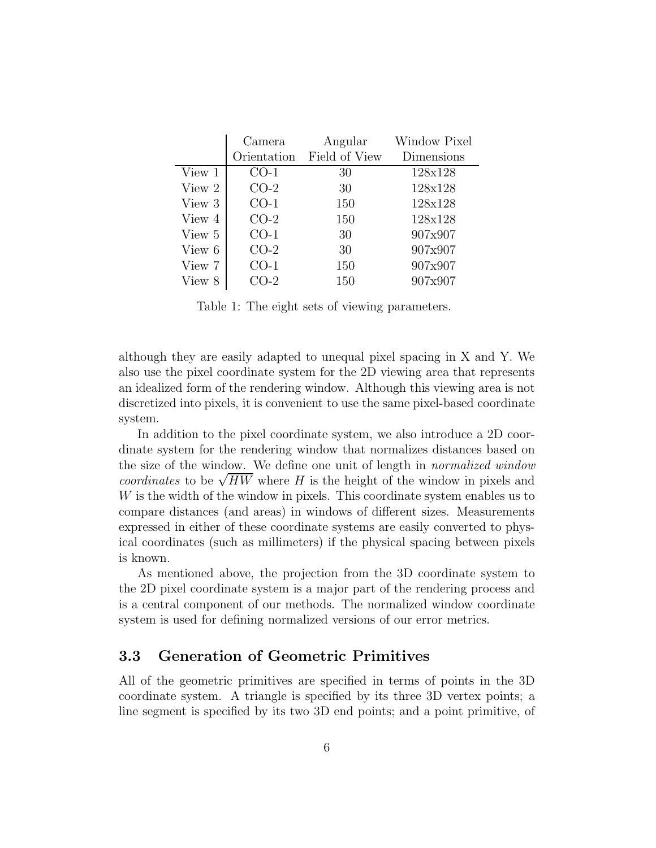|        | Camera           | Angular       | Window Pixel |
|--------|------------------|---------------|--------------|
|        | Orientation      | Field of View | Dimensions   |
| View 1 | CO-1             | 30            | 128x128      |
| View 2 | $CO-2$           | 30            | 128x128      |
| View 3 | $CO-1$           | 150           | 128x128      |
| View 4 | $CO-2$           | 150           | 128x128      |
| View 5 | $CO-1$           | 30            | 907x907      |
| View 6 | $CO-2$           | 30            | 907x907      |
| View 7 | CO-1             | 150           | 907x907      |
| View 8 | $\mathbb{C}$ O-2 | 150           | 907x907      |

Table 1: The eight sets of viewing parameters.

although they are easily adapted to unequal pixel spacing in X and Y. We also use the pixel coordinate system for the 2D viewing area that represents an idealized form of the rendering window. Although this viewing area is not discretized into pixels, it is convenient to use the same pixel-based coordinate system.

In addition to the pixel coordinate system, we also introduce a 2D coordinate system for the rendering window that normalizes distances based on the size of the window. We define one unit of length in normalized window coordinates to be  $\sqrt{HW}$  where H is the height of the window in pixels and W is the width of the window in pixels. This coordinate system enables us to compare distances (and areas) in windows of different sizes. Measurements expressed in either of these coordinate systems are easily converted to physical coordinates (such as millimeters) if the physical spacing between pixels is known.

As mentioned above, the projection from the 3D coordinate system to the 2D pixel coordinate system is a major part of the rendering process and is a central component of our methods. The normalized window coordinate system is used for defining normalized versions of our error metrics.

#### 3.3 Generation of Geometric Primitives

All of the geometric primitives are specified in terms of points in the 3D coordinate system. A triangle is specified by its three 3D vertex points; a line segment is specified by its two 3D end points; and a point primitive, of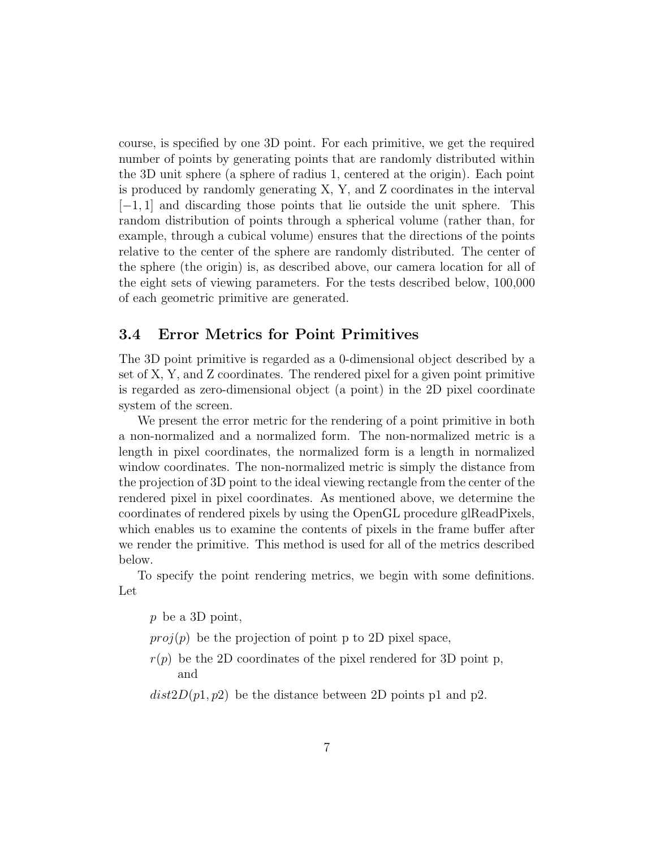course, is specified by one 3D point. For each primitive, we get the required number of points by generating points that are randomly distributed within the 3D unit sphere (a sphere of radius 1, centered at the origin). Each point is produced by randomly generating X, Y, and Z coordinates in the interval  $[-1, 1]$  and discarding those points that lie outside the unit sphere. This random distribution of points through a spherical volume (rather than, for example, through a cubical volume) ensures that the directions of the points relative to the center of the sphere are randomly distributed. The center of the sphere (the origin) is, as described above, our camera location for all of the eight sets of viewing parameters. For the tests described below, 100,000 of each geometric primitive are generated.

### 3.4 Error Metrics for Point Primitives

The 3D point primitive is regarded as a 0-dimensional object described by a set of X, Y, and Z coordinates. The rendered pixel for a given point primitive is regarded as zero-dimensional object (a point) in the 2D pixel coordinate system of the screen.

We present the error metric for the rendering of a point primitive in both a non-normalized and a normalized form. The non-normalized metric is a length in pixel coordinates, the normalized form is a length in normalized window coordinates. The non-normalized metric is simply the distance from the projection of 3D point to the ideal viewing rectangle from the center of the rendered pixel in pixel coordinates. As mentioned above, we determine the coordinates of rendered pixels by using the OpenGL procedure glReadPixels, which enables us to examine the contents of pixels in the frame buffer after we render the primitive. This method is used for all of the metrics described below.

To specify the point rendering metrics, we begin with some definitions. Let

p be a 3D point,

 $proj(p)$  be the projection of point p to 2D pixel space,

 $r(p)$  be the 2D coordinates of the pixel rendered for 3D point p, and

 $dist2D(p1, p2)$  be the distance between 2D points p1 and p2.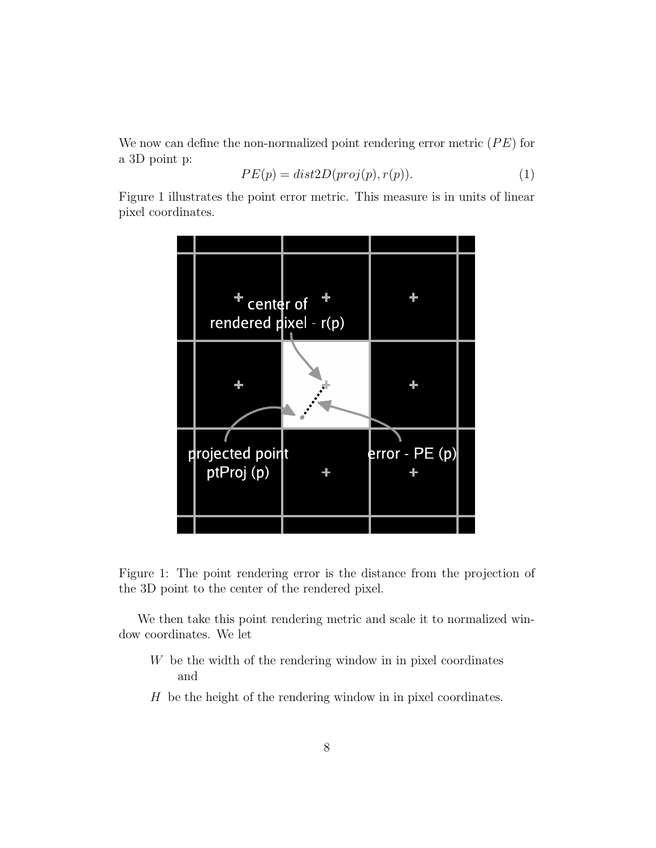We now can define the non-normalized point rendering error metric  $(PE)$  for a 3D point p:

$$
PE(p) = dist2D(proj(p), r(p)).
$$
\n(1)

Figure 1 illustrates the point error metric. This measure is in units of linear pixel coordinates.



Figure 1: The point rendering error is the distance from the projection of the 3D point to the center of the rendered pixel.

We then take this point rendering metric and scale it to normalized window coordinates. We let

- W be the width of the rendering window in in pixel coordinates and
- H be the height of the rendering window in in pixel coordinates.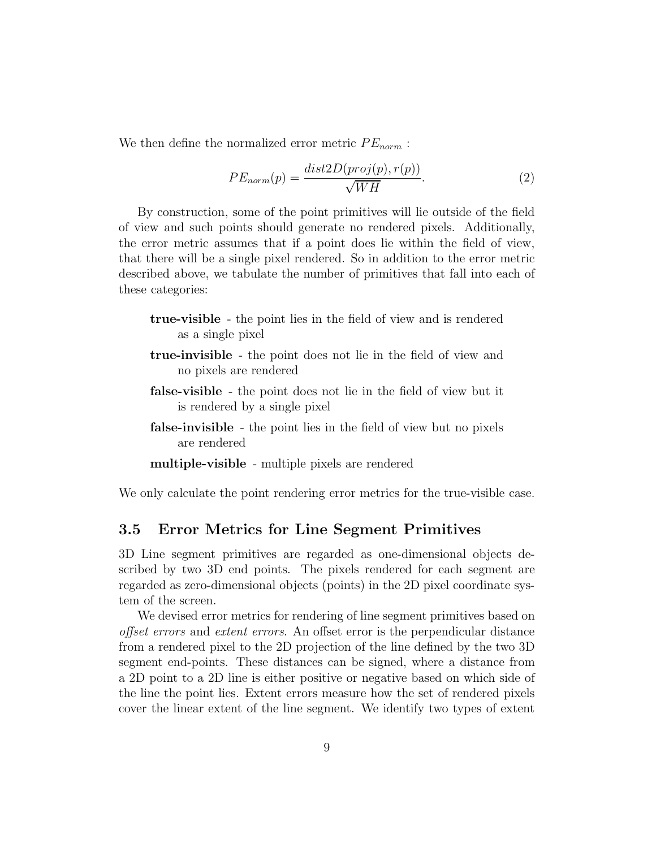We then define the normalized error metric  $PE_{norm}$ :

$$
PE_{norm}(p) = \frac{dist2D(proj(p), r(p))}{\sqrt{WH}}.\tag{2}
$$

By construction, some of the point primitives will lie outside of the field of view and such points should generate no rendered pixels. Additionally, the error metric assumes that if a point does lie within the field of view, that there will be a single pixel rendered. So in addition to the error metric described above, we tabulate the number of primitives that fall into each of these categories:

- true-visible the point lies in the field of view and is rendered as a single pixel
- true-invisible the point does not lie in the field of view and no pixels are rendered
- false-visible the point does not lie in the field of view but it is rendered by a single pixel
- false-invisible the point lies in the field of view but no pixels are rendered
- multiple-visible multiple pixels are rendered

We only calculate the point rendering error metrics for the true-visible case.

### 3.5 Error Metrics for Line Segment Primitives

3D Line segment primitives are regarded as one-dimensional objects described by two 3D end points. The pixels rendered for each segment are regarded as zero-dimensional objects (points) in the 2D pixel coordinate system of the screen.

We devised error metrics for rendering of line segment primitives based on offset errors and extent errors. An offset error is the perpendicular distance from a rendered pixel to the 2D projection of the line defined by the two 3D segment end-points. These distances can be signed, where a distance from a 2D point to a 2D line is either positive or negative based on which side of the line the point lies. Extent errors measure how the set of rendered pixels cover the linear extent of the line segment. We identify two types of extent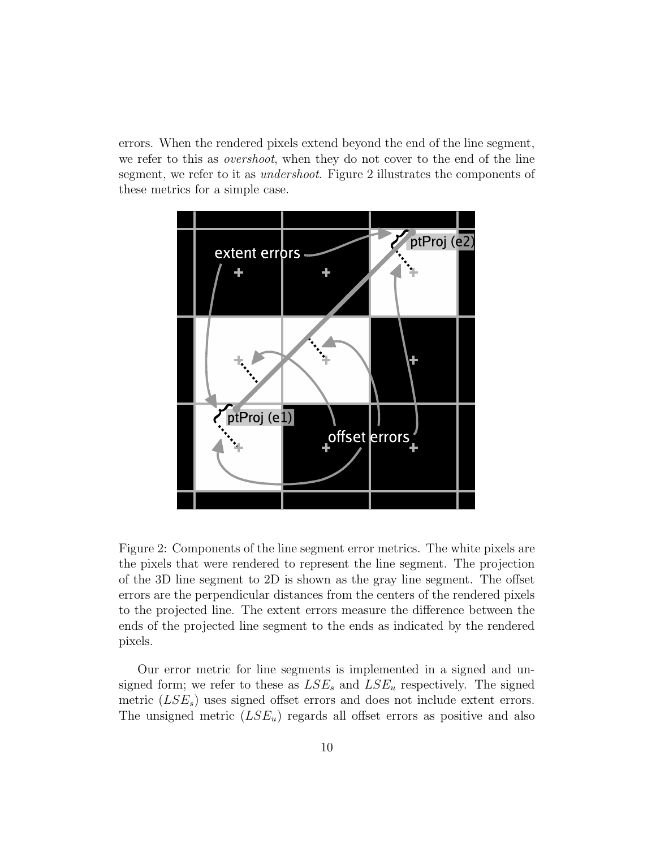errors. When the rendered pixels extend beyond the end of the line segment, we refer to this as overshoot, when they do not cover to the end of the line segment, we refer to it as *undershoot*. Figure 2 illustrates the components of these metrics for a simple case.



Figure 2: Components of the line segment error metrics. The white pixels are the pixels that were rendered to represent the line segment. The projection of the 3D line segment to 2D is shown as the gray line segment. The offset errors are the perpendicular distances from the centers of the rendered pixels to the projected line. The extent errors measure the difference between the ends of the projected line segment to the ends as indicated by the rendered pixels.

Our error metric for line segments is implemented in a signed and unsigned form; we refer to these as  $LSE_s$  and  $LSE_u$  respectively. The signed metric  $(LSE<sub>s</sub>)$  uses signed offset errors and does not include extent errors. The unsigned metric  $(LSE_u)$  regards all offset errors as positive and also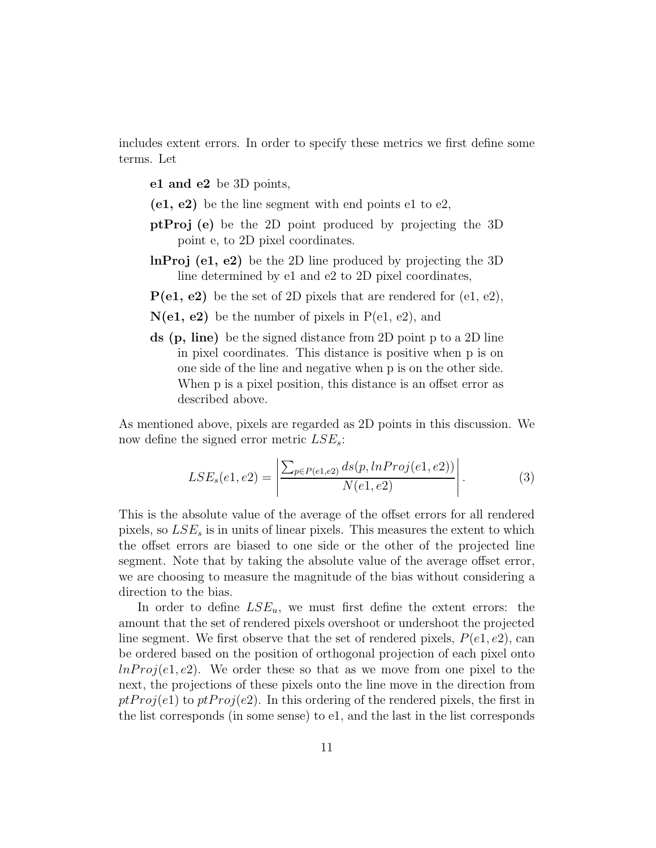includes extent errors. In order to specify these metrics we first define some terms. Let

e1 and e2 be 3D points,

- $(e1, e2)$  be the line segment with end points e1 to e2,
- ptProj (e) be the 2D point produced by projecting the 3D point e, to 2D pixel coordinates.
- lnProj (e1, e2) be the 2D line produced by projecting the 3D line determined by e1 and e2 to 2D pixel coordinates,
- $P(e1, e2)$  be the set of 2D pixels that are rendered for  $(e1, e2)$ ,
- $N(e1, e2)$  be the number of pixels in  $P(e1, e2)$ , and
- ds (p, line) be the signed distance from 2D point p to a 2D line in pixel coordinates. This distance is positive when p is on one side of the line and negative when p is on the other side. When p is a pixel position, this distance is an offset error as described above.

As mentioned above, pixels are regarded as 2D points in this discussion. We now define the signed error metric  $LSE_s$ :

$$
LSE_s(e1, e2) = \left| \frac{\sum_{p \in P(e1, e2)} ds(p, lnProj(e1, e2))}{N(e1, e2)} \right|.
$$
 (3)

This is the absolute value of the average of the offset errors for all rendered pixels, so  $LSE<sub>s</sub>$  is in units of linear pixels. This measures the extent to which the offset errors are biased to one side or the other of the projected line segment. Note that by taking the absolute value of the average offset error, we are choosing to measure the magnitude of the bias without considering a direction to the bias.

In order to define  $LSE_u$ , we must first define the extent errors: the amount that the set of rendered pixels overshoot or undershoot the projected line segment. We first observe that the set of rendered pixels,  $P(e_1, e_2)$ , can be ordered based on the position of orthogonal projection of each pixel onto  $lnProj(e1, e2)$ . We order these so that as we move from one pixel to the next, the projections of these pixels onto the line move in the direction from  $ptProj(e1)$  to  $ptProj(e2)$ . In this ordering of the rendered pixels, the first in the list corresponds (in some sense) to e1, and the last in the list corresponds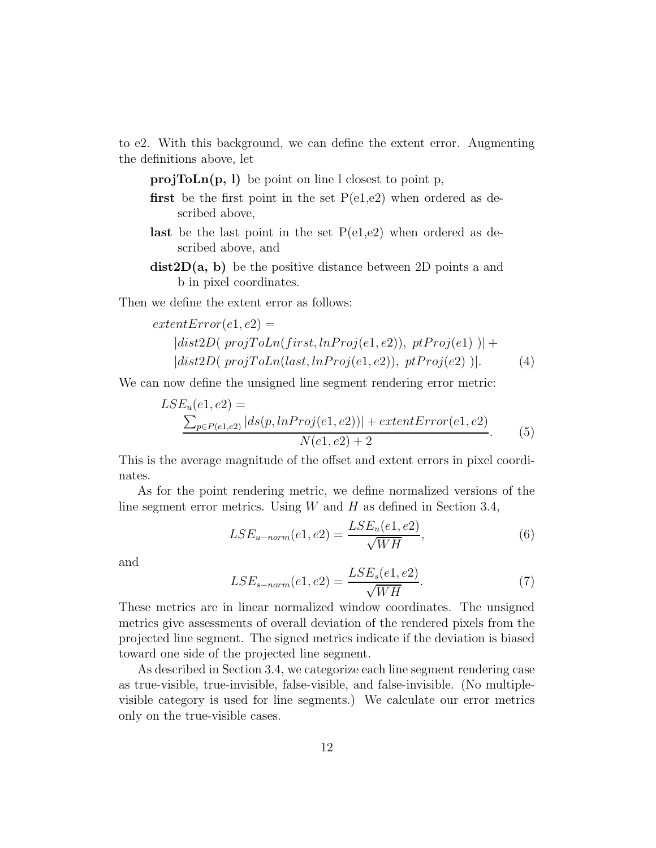to e2. With this background, we can define the extent error. Augmenting the definitions above, let

 $projToLn(p, l)$  be point on line l closest to point p,

- **first** be the first point in the set  $P(e1,e2)$  when ordered as described above,
- **last** be the last point in the set  $P(e1,e2)$  when ordered as described above, and
- $dist2D(a, b)$  be the positive distance between 2D points a and b in pixel coordinates.

Then we define the extent error as follows:

$$
extentError(e1, e2) =\n|dist2D(\text{projToLn}(\text{first}, \text{lnProj}(e1, e2)), \text{ptProj}(e1))| +\n|dist2D(\text{projToLn}(\text{last}, \text{lnProj}(e1, e2)), \text{ptProj}(e2))|.
$$
\n(4)

We can now define the unsigned line segment rendering error metric:

$$
LSE_u(e1, e2) = \frac{\sum_{p \in P(e1, e2)} |ds(p, lnProj(e1, e2))| + extentError(e1, e2)}{N(e1, e2) + 2}.
$$
 (5)

This is the average magnitude of the offset and extent errors in pixel coordinates.

As for the point rendering metric, we define normalized versions of the line segment error metrics. Using  $W$  and  $H$  as defined in Section 3.4,

$$
LSE_{u-norm}(e1, e2) = \frac{LSE_u(e1, e2)}{\sqrt{WH}},\tag{6}
$$

and

$$
LSE_{s-norm}(e1, e2) = \frac{LSE_s(e1, e2)}{\sqrt{WH}}.\tag{7}
$$

These metrics are in linear normalized window coordinates. The unsigned metrics give assessments of overall deviation of the rendered pixels from the projected line segment. The signed metrics indicate if the deviation is biased toward one side of the projected line segment.

As described in Section 3.4, we categorize each line segment rendering case as true-visible, true-invisible, false-visible, and false-invisible. (No multiplevisible category is used for line segments.) We calculate our error metrics only on the true-visible cases.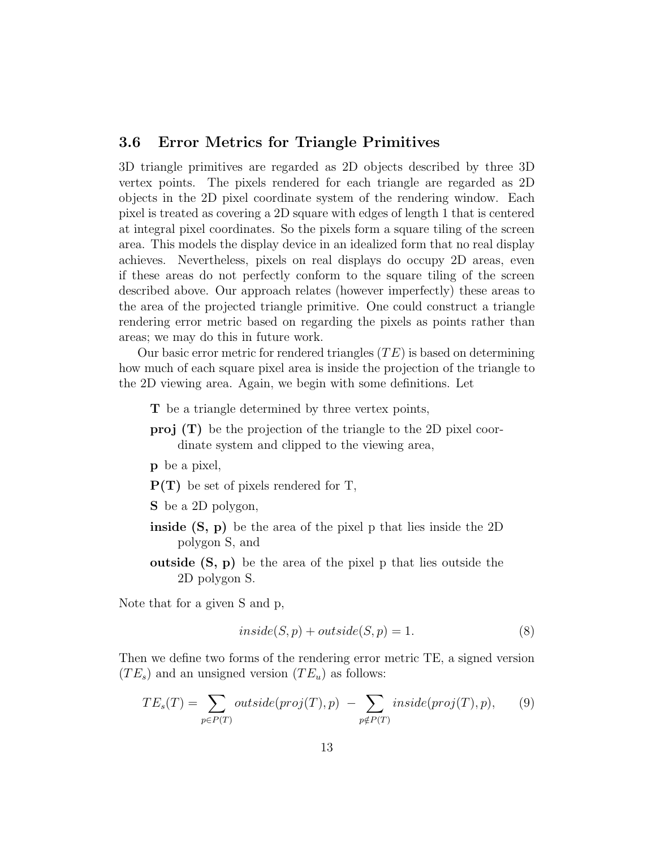### 3.6 Error Metrics for Triangle Primitives

3D triangle primitives are regarded as 2D objects described by three 3D vertex points. The pixels rendered for each triangle are regarded as 2D objects in the 2D pixel coordinate system of the rendering window. Each pixel is treated as covering a 2D square with edges of length 1 that is centered at integral pixel coordinates. So the pixels form a square tiling of the screen area. This models the display device in an idealized form that no real display achieves. Nevertheless, pixels on real displays do occupy 2D areas, even if these areas do not perfectly conform to the square tiling of the screen described above. Our approach relates (however imperfectly) these areas to the area of the projected triangle primitive. One could construct a triangle rendering error metric based on regarding the pixels as points rather than areas; we may do this in future work.

Our basic error metric for rendered triangles  $(TE)$  is based on determining how much of each square pixel area is inside the projection of the triangle to the 2D viewing area. Again, we begin with some definitions. Let

- T be a triangle determined by three vertex points,
- proj (T) be the projection of the triangle to the 2D pixel coordinate system and clipped to the viewing area,
- p be a pixel,

P(T) be set of pixels rendered for T,

- S be a 2D polygon,
- inside (S, p) be the area of the pixel p that lies inside the 2D polygon S, and
- outside (S, p) be the area of the pixel p that lies outside the 2D polygon S.

Note that for a given S and p,

$$
inside(S, p) + outside(S, p) = 1.
$$
\n(8)

Then we define two forms of the rendering error metric TE, a signed version  $(TE_s)$  and an unsigned version  $(TE_u)$  as follows:

$$
TE_s(T) = \sum_{p \in P(T)} outside(proj(T), p) - \sum_{p \notin P(T)} inside(proj(T), p), \qquad (9)
$$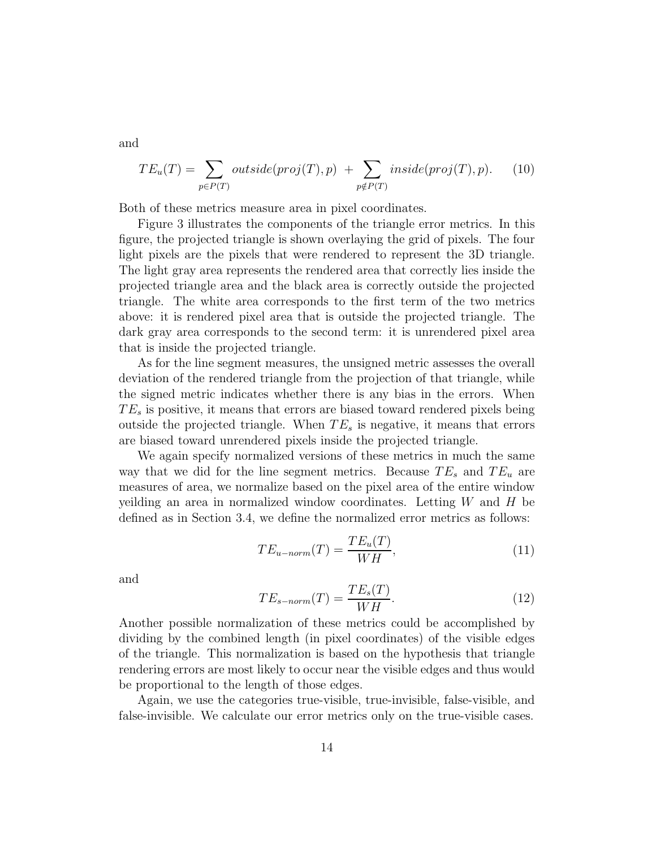and

$$
TE_u(T) = \sum_{p \in P(T)} outside(proj(T), p) + \sum_{p \notin P(T)} inside(proj(T), p).
$$
 (10)

Both of these metrics measure area in pixel coordinates.

Figure 3 illustrates the components of the triangle error metrics. In this figure, the projected triangle is shown overlaying the grid of pixels. The four light pixels are the pixels that were rendered to represent the 3D triangle. The light gray area represents the rendered area that correctly lies inside the projected triangle area and the black area is correctly outside the projected triangle. The white area corresponds to the first term of the two metrics above: it is rendered pixel area that is outside the projected triangle. The dark gray area corresponds to the second term: it is unrendered pixel area that is inside the projected triangle.

As for the line segment measures, the unsigned metric assesses the overall deviation of the rendered triangle from the projection of that triangle, while the signed metric indicates whether there is any bias in the errors. When  $TE_s$  is positive, it means that errors are biased toward rendered pixels being outside the projected triangle. When  $TE_s$  is negative, it means that errors are biased toward unrendered pixels inside the projected triangle.

We again specify normalized versions of these metrics in much the same way that we did for the line segment metrics. Because  $TE_s$  and  $TE_u$  are measures of area, we normalize based on the pixel area of the entire window yeilding an area in normalized window coordinates. Letting  $W$  and  $H$  be defined as in Section 3.4, we define the normalized error metrics as follows:

$$
TE_{u-norm}(T) = \frac{TE_u(T)}{WH},\tag{11}
$$

and

$$
TE_{s-norm}(T) = \frac{TE_s(T)}{WH}.
$$
\n(12)

Another possible normalization of these metrics could be accomplished by dividing by the combined length (in pixel coordinates) of the visible edges of the triangle. This normalization is based on the hypothesis that triangle rendering errors are most likely to occur near the visible edges and thus would be proportional to the length of those edges.

Again, we use the categories true-visible, true-invisible, false-visible, and false-invisible. We calculate our error metrics only on the true-visible cases.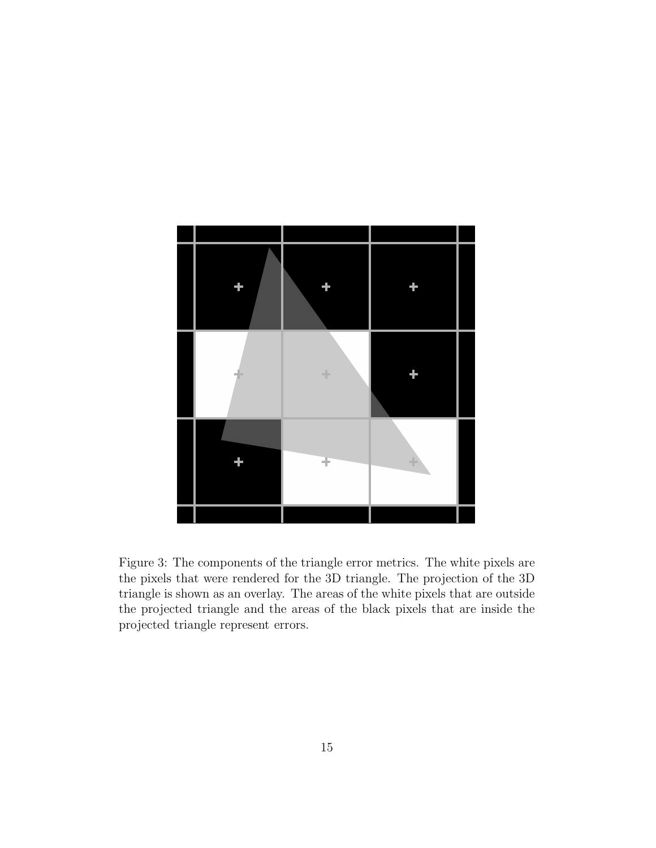

Figure 3: The components of the triangle error metrics. The white pixels are the pixels that were rendered for the 3D triangle. The projection of the 3D triangle is shown as an overlay. The areas of the white pixels that are outside the projected triangle and the areas of the black pixels that are inside the projected triangle represent errors.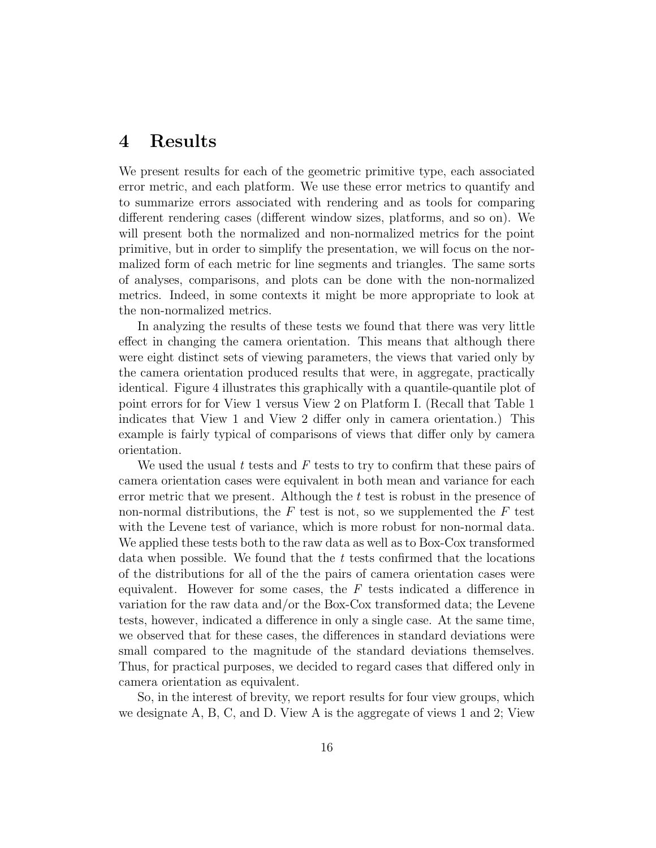### 4 Results

We present results for each of the geometric primitive type, each associated error metric, and each platform. We use these error metrics to quantify and to summarize errors associated with rendering and as tools for comparing different rendering cases (different window sizes, platforms, and so on). We will present both the normalized and non-normalized metrics for the point primitive, but in order to simplify the presentation, we will focus on the normalized form of each metric for line segments and triangles. The same sorts of analyses, comparisons, and plots can be done with the non-normalized metrics. Indeed, in some contexts it might be more appropriate to look at the non-normalized metrics.

In analyzing the results of these tests we found that there was very little effect in changing the camera orientation. This means that although there were eight distinct sets of viewing parameters, the views that varied only by the camera orientation produced results that were, in aggregate, practically identical. Figure 4 illustrates this graphically with a quantile-quantile plot of point errors for for View 1 versus View 2 on Platform I. (Recall that Table 1 indicates that View 1 and View 2 differ only in camera orientation.) This example is fairly typical of comparisons of views that differ only by camera orientation.

We used the usual t tests and  $F$  tests to try to confirm that these pairs of camera orientation cases were equivalent in both mean and variance for each error metric that we present. Although the t test is robust in the presence of non-normal distributions, the  $F$  test is not, so we supplemented the  $F$  test with the Levene test of variance, which is more robust for non-normal data. We applied these tests both to the raw data as well as to Box-Cox transformed data when possible. We found that the  $t$  tests confirmed that the locations of the distributions for all of the the pairs of camera orientation cases were equivalent. However for some cases, the  $F$  tests indicated a difference in variation for the raw data and/or the Box-Cox transformed data; the Levene tests, however, indicated a difference in only a single case. At the same time, we observed that for these cases, the differences in standard deviations were small compared to the magnitude of the standard deviations themselves. Thus, for practical purposes, we decided to regard cases that differed only in camera orientation as equivalent.

So, in the interest of brevity, we report results for four view groups, which we designate A, B, C, and D. View A is the aggregate of views 1 and 2; View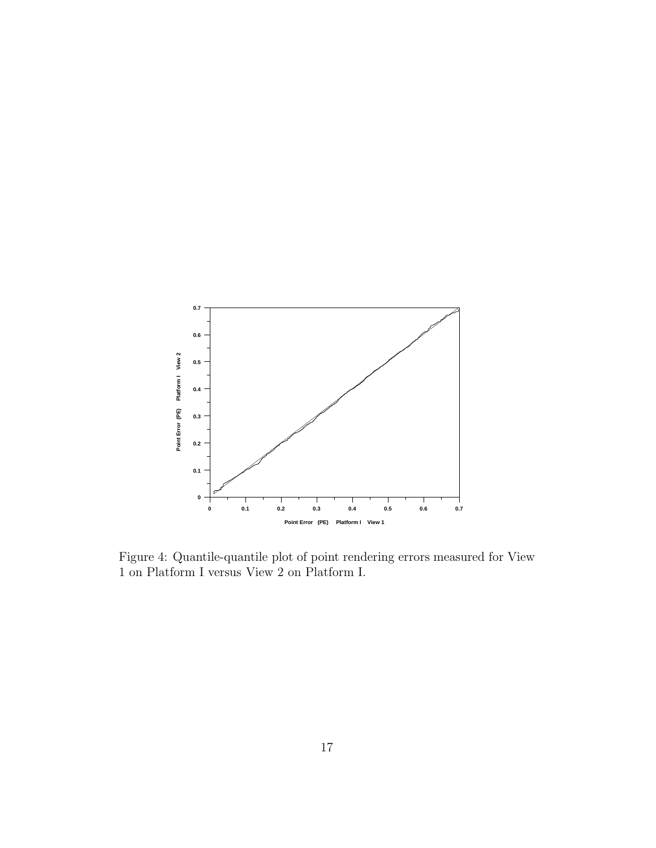

Figure 4: Quantile-quantile plot of point rendering errors measured for View 1 on Platform I versus View 2 on Platform I.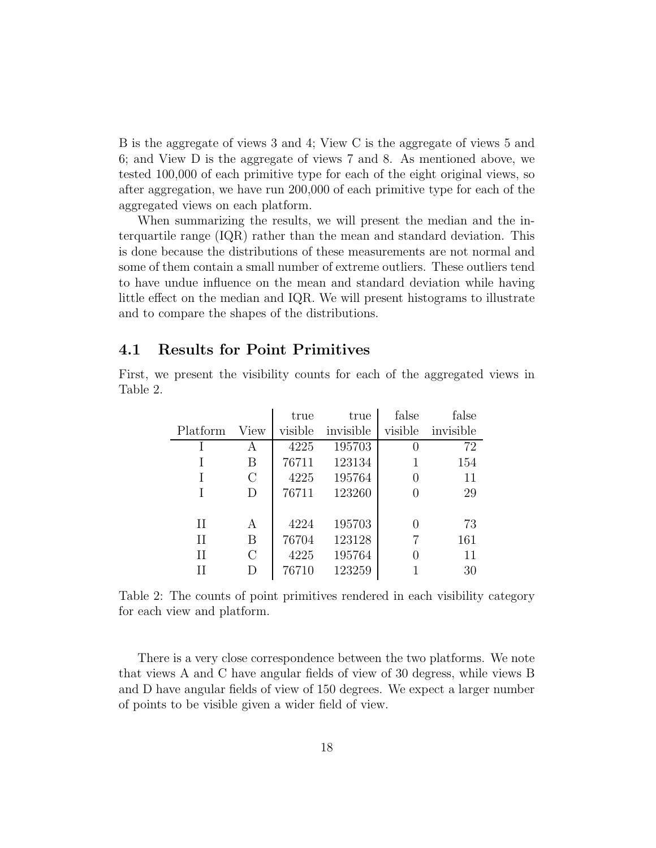B is the aggregate of views 3 and 4; View C is the aggregate of views 5 and 6; and View D is the aggregate of views 7 and 8. As mentioned above, we tested 100,000 of each primitive type for each of the eight original views, so after aggregation, we have run 200,000 of each primitive type for each of the aggregated views on each platform.

When summarizing the results, we will present the median and the interquartile range (IQR) rather than the mean and standard deviation. This is done because the distributions of these measurements are not normal and some of them contain a small number of extreme outliers. These outliers tend to have undue influence on the mean and standard deviation while having little effect on the median and IQR. We will present histograms to illustrate and to compare the shapes of the distributions.

#### 4.1 Results for Point Primitives

First, we present the visibility counts for each of the aggregated views in Table 2.

|             |               | true    | true      | false            | false     |
|-------------|---------------|---------|-----------|------------------|-----------|
| Platform    | View          | visible | invisible | visible          | invisible |
|             | А             | 4225    | 195703    | $\left( \right)$ | 72        |
|             | Β             | 76711   | 123134    | 1                | 154       |
|             | $\mathcal{C}$ | 4225    | 195764    | 0                | 11        |
|             | D             | 76711   | 123260    | 0                | 29        |
|             |               |         |           |                  |           |
| $_{\rm II}$ | A             | 4224    | 195703    | 0                | 73        |
| $\rm II$    | В             | 76704   | 123128    | 7                | 161       |
| Н           | $\rm C$       | 4225    | 195764    | 0                | 11        |
|             |               | 76710   | 123259    |                  | 30        |

Table 2: The counts of point primitives rendered in each visibility category for each view and platform.

There is a very close correspondence between the two platforms. We note that views A and C have angular fields of view of 30 degress, while views B and D have angular fields of view of 150 degrees. We expect a larger number of points to be visible given a wider field of view.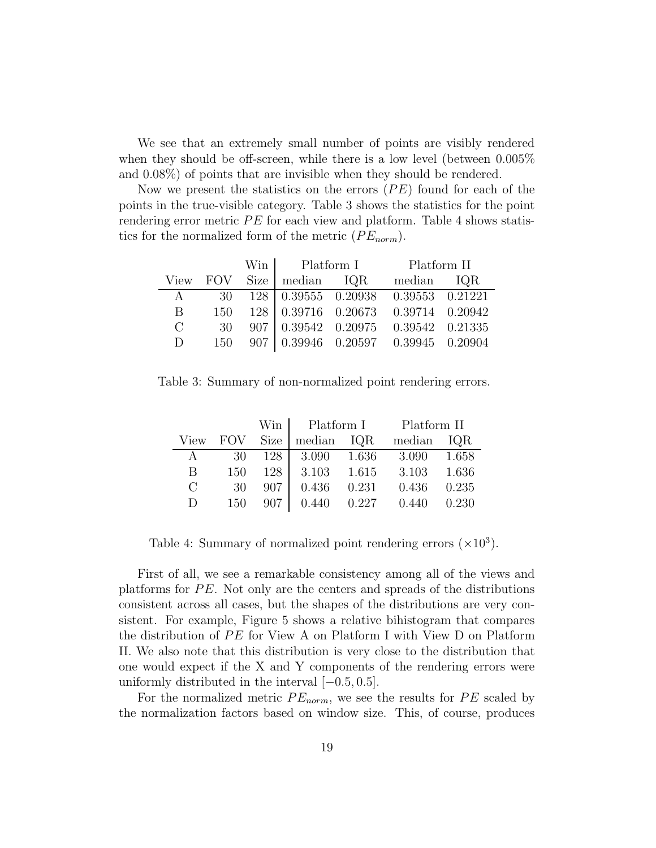We see that an extremely small number of points are visibly rendered when they should be off-screen, while there is a low level (between 0.005% and 0.08%) of points that are invisible when they should be rendered.

Now we present the statistics on the errors  $(PE)$  found for each of the points in the true-visible category. Table 3 shows the statistics for the point rendering error metric PE for each view and platform. Table 4 shows statistics for the normalized form of the metric  $(PE_{norm})$ .

|                       |          | Win Platform I               | Platform II                                                  |  |
|-----------------------|----------|------------------------------|--------------------------------------------------------------|--|
|                       | View FOV | $Size \mid median \quad IQR$ | median IQR                                                   |  |
| A                     |          |                              | 30 128 0.39555 0.20938 0.39553 0.21221                       |  |
| B.                    | 150      |                              | 128 0.39716 0.20673 0.39714 0.20942                          |  |
| $\mathcal{C}_{\cdot}$ | 30       |                              | $907 \mid 0.39542 \quad 0.20975 \quad 0.39542 \quad 0.21335$ |  |
| D                     | 150      |                              | 907 0.39946 0.20597 0.39945 0.20904                          |  |

Table 3: Summary of non-normalized point rendering errors.

|               |            | Win         | Platform I |       | Platform II |       |
|---------------|------------|-------------|------------|-------|-------------|-------|
| View          | <b>FOV</b> | <b>Size</b> | median IQR |       | median      | IQR   |
| $\mathbf{A}$  | 30         | 128         | 3.090      | 1.636 | 3.090       | 1.658 |
| B             | 150        | 128         | 3.103      | 1.615 | 3.103       | 1.636 |
| $\mathcal{C}$ | 30         | 907         | 0.436      | 0.231 | 0.436       | 0.235 |
| D             | 150        | 907         | 0.440      | 0.227 | 0.440       | 0.230 |

Table 4: Summary of normalized point rendering errors  $(\times 10^3)$ .

First of all, we see a remarkable consistency among all of the views and platforms for PE. Not only are the centers and spreads of the distributions consistent across all cases, but the shapes of the distributions are very consistent. For example, Figure 5 shows a relative bihistogram that compares the distribution of PE for View A on Platform I with View D on Platform II. We also note that this distribution is very close to the distribution that one would expect if the X and Y components of the rendering errors were uniformly distributed in the interval  $[-0.5, 0.5]$ .

For the normalized metric  $PE_{norm}$ , we see the results for  $PE$  scaled by the normalization factors based on window size. This, of course, produces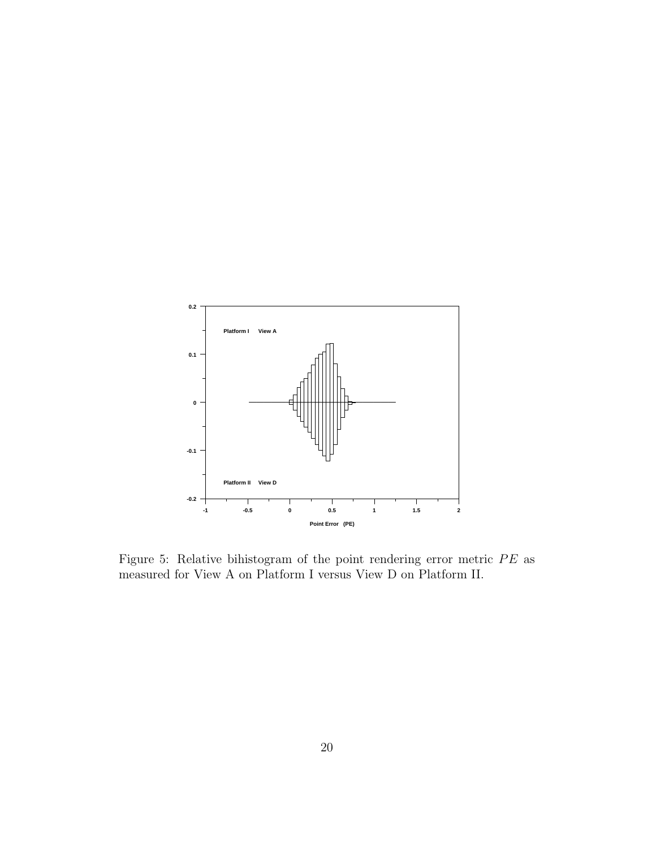

Figure 5: Relative bihistogram of the point rendering error metric PE as measured for View A on Platform I versus View D on Platform II.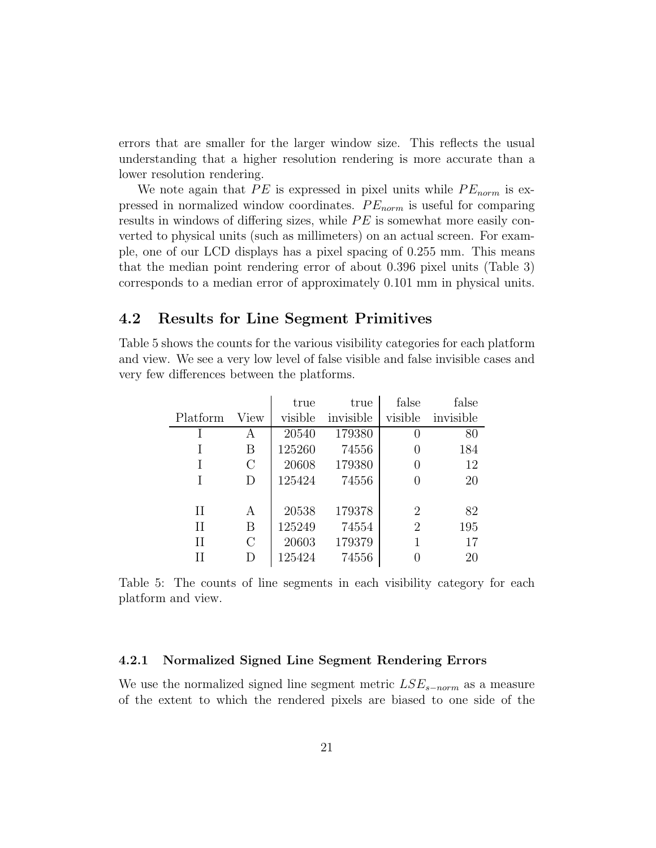errors that are smaller for the larger window size. This reflects the usual understanding that a higher resolution rendering is more accurate than a lower resolution rendering.

We note again that PE is expressed in pixel units while  $PE_{norm}$  is expressed in normalized window coordinates.  $PE_{norm}$  is useful for comparing results in windows of differing sizes, while PE is somewhat more easily converted to physical units (such as millimeters) on an actual screen. For example, one of our LCD displays has a pixel spacing of 0.255 mm. This means that the median point rendering error of about 0.396 pixel units (Table 3) corresponds to a median error of approximately 0.101 mm in physical units.

#### 4.2 Results for Line Segment Primitives

Table 5 shows the counts for the various visibility categories for each platform and view. We see a very low level of false visible and false invisible cases and very few differences between the platforms.

|         | true    | true      | false            | false     |
|---------|---------|-----------|------------------|-----------|
| View    | visible | invisible | visible          | invisible |
| А       | 20540   | 179380    | $\left( \right)$ | 80        |
| В       | 125260  | 74556     | $\left( \right)$ | 184       |
| $\rm C$ | 20608   | 179380    | 0                | 12        |
| D       | 125424  | 74556     | 0                | 20        |
|         |         |           |                  |           |
| A       | 20538   | 179378    | 2                | 82        |
| Β       | 125249  | 74554     | $\overline{2}$   | 195       |
| $\rm C$ | 20603   | 179379    |                  | 17        |
|         | 125424  | 74556     |                  | 20        |
|         |         |           |                  |           |

Table 5: The counts of line segments in each visibility category for each platform and view.

#### 4.2.1 Normalized Signed Line Segment Rendering Errors

We use the normalized signed line segment metric  $LSE_{s-norm}$  as a measure of the extent to which the rendered pixels are biased to one side of the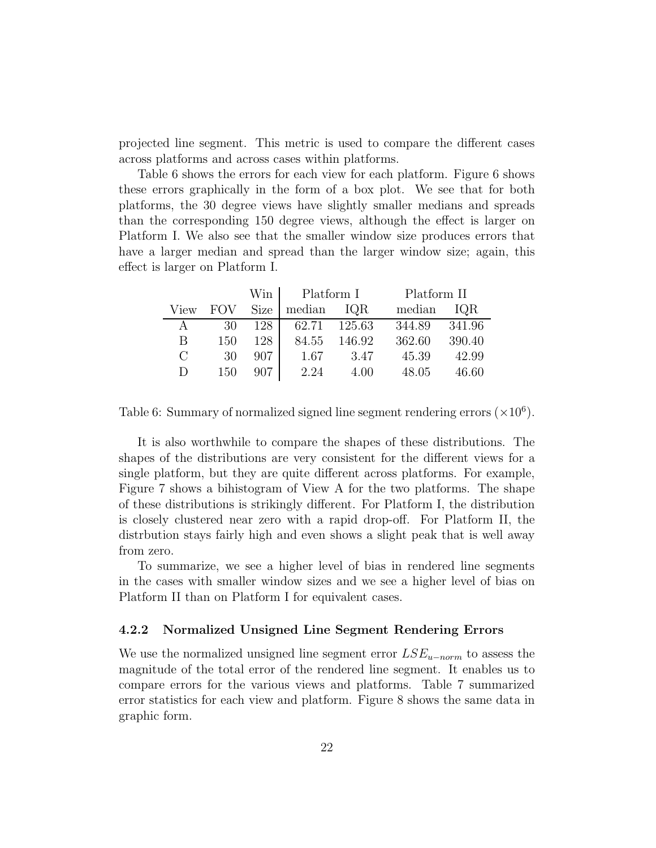projected line segment. This metric is used to compare the different cases across platforms and across cases within platforms.

Table 6 shows the errors for each view for each platform. Figure 6 shows these errors graphically in the form of a box plot. We see that for both platforms, the 30 degree views have slightly smaller medians and spreads than the corresponding 150 degree views, although the effect is larger on Platform I. We also see that the smaller window size produces errors that have a larger median and spread than the larger window size; again, this effect is larger on Platform I.

|          |            | Win  | Platform I |        | Platform II |        |
|----------|------------|------|------------|--------|-------------|--------|
| View     | <b>FOV</b> | Size | median     | IQR    | median      | IQR    |
| A        | 30         | 128  | 62.71      | 125.63 | 344.89      | 341.96 |
| В        | 150        | 128  | 84.55      | 146.92 | 362.60      | 390.40 |
| $\Gamma$ | 30         | 907  | 1.67       | 3.47   | 45.39       | 42.99  |
| D        | 150        | 907  | 2.24       | 4.00   | 48.05       | 46.60  |

Table 6: Summary of normalized signed line segment rendering errors  $(\times 10^6)$ .

It is also worthwhile to compare the shapes of these distributions. The shapes of the distributions are very consistent for the different views for a single platform, but they are quite different across platforms. For example, Figure 7 shows a bihistogram of View A for the two platforms. The shape of these distributions is strikingly different. For Platform I, the distribution is closely clustered near zero with a rapid drop-off. For Platform II, the distrbution stays fairly high and even shows a slight peak that is well away from zero.

To summarize, we see a higher level of bias in rendered line segments in the cases with smaller window sizes and we see a higher level of bias on Platform II than on Platform I for equivalent cases.

#### 4.2.2 Normalized Unsigned Line Segment Rendering Errors

We use the normalized unsigned line segment error  $LSE_{u-norm}$  to assess the magnitude of the total error of the rendered line segment. It enables us to compare errors for the various views and platforms. Table 7 summarized error statistics for each view and platform. Figure 8 shows the same data in graphic form.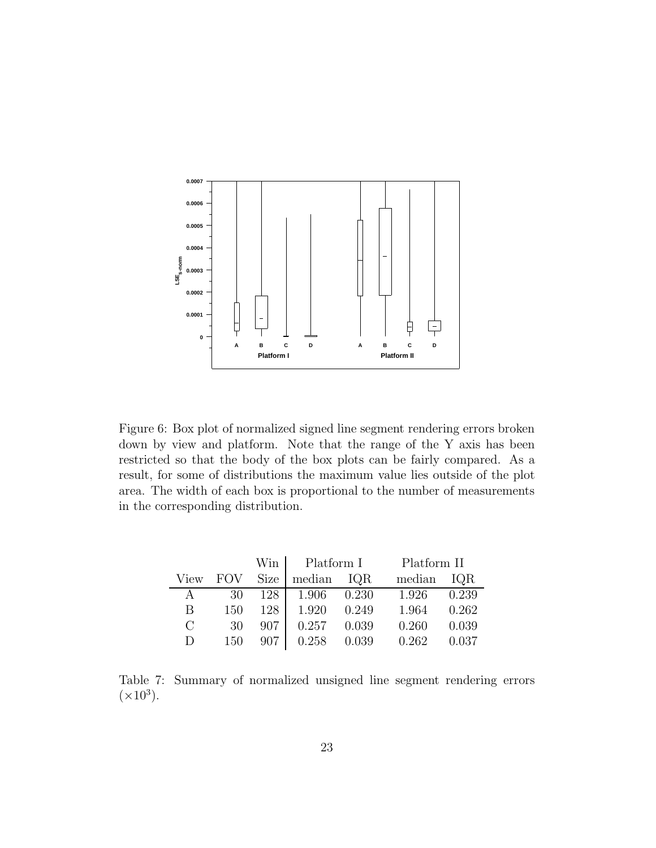

Figure 6: Box plot of normalized signed line segment rendering errors broken down by view and platform. Note that the range of the Y axis has been restricted so that the body of the box plots can be fairly compared. As a result, for some of distributions the maximum value lies outside of the plot area. The width of each box is proportional to the number of measurements in the corresponding distribution.

|              |     | Win   | Platform I  |       | Platform II |       |
|--------------|-----|-------|-------------|-------|-------------|-------|
| View         | FOV | Size  | median IQR  |       | median      | IQR   |
| $\mathsf{A}$ | 30  | 128   | 1.906 0.230 |       | 1.926       | 0.239 |
| B            | 150 | 128 l | 1.920       | 0.249 | 1.964       | 0.262 |
| $\bigcap$    | 30  | 907   | 0.257       | 0.039 | 0.260       | 0.039 |
| D            | 150 | 907   | 0.258       | 0.039 | 0.262       | 0.037 |

Table 7: Summary of normalized unsigned line segment rendering errors  $(\times 10^3)$ .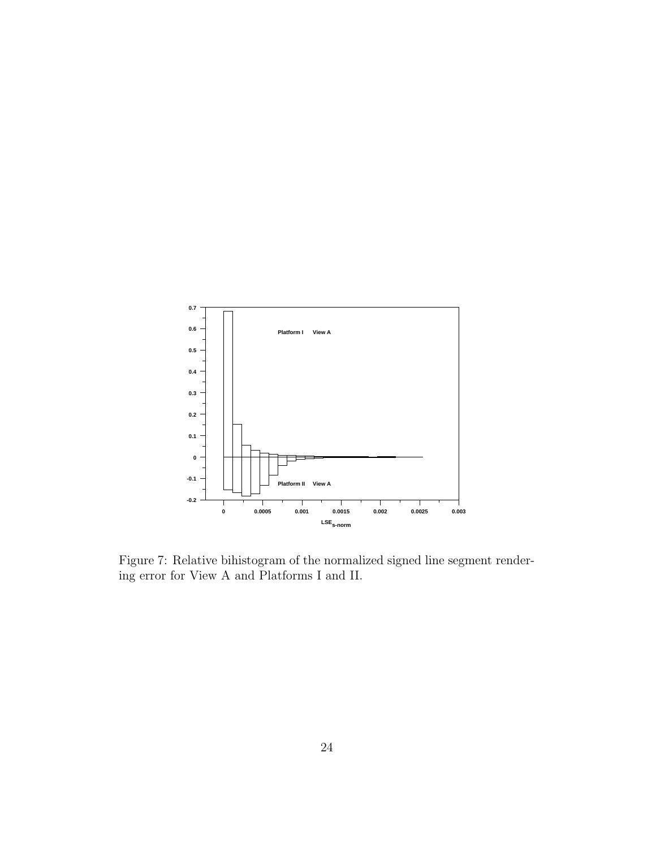

Figure 7: Relative bihistogram of the normalized signed line segment rendering error for View A and Platforms I and II.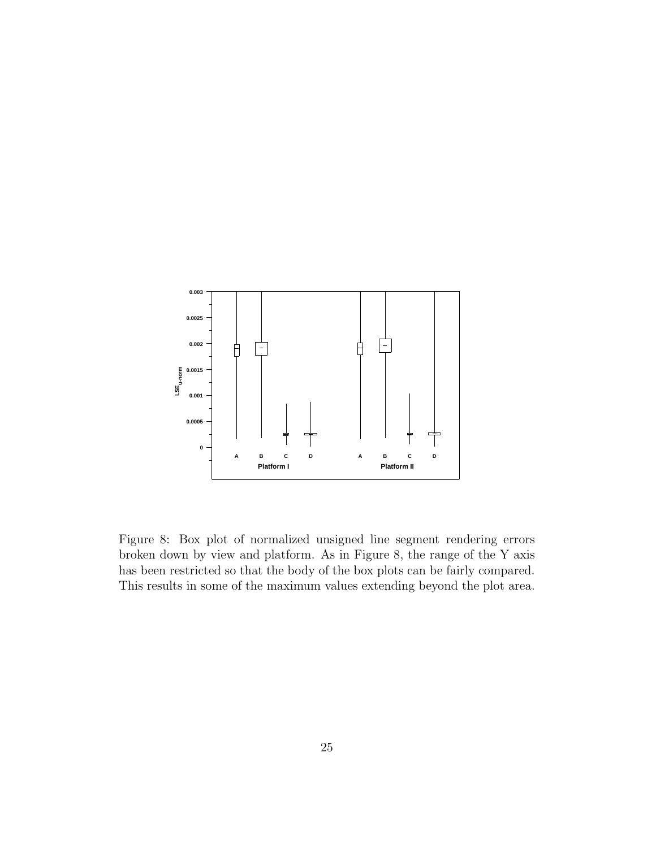

Figure 8: Box plot of normalized unsigned line segment rendering errors broken down by view and platform. As in Figure 8, the range of the Y axis has been restricted so that the body of the box plots can be fairly compared. This results in some of the maximum values extending beyond the plot area.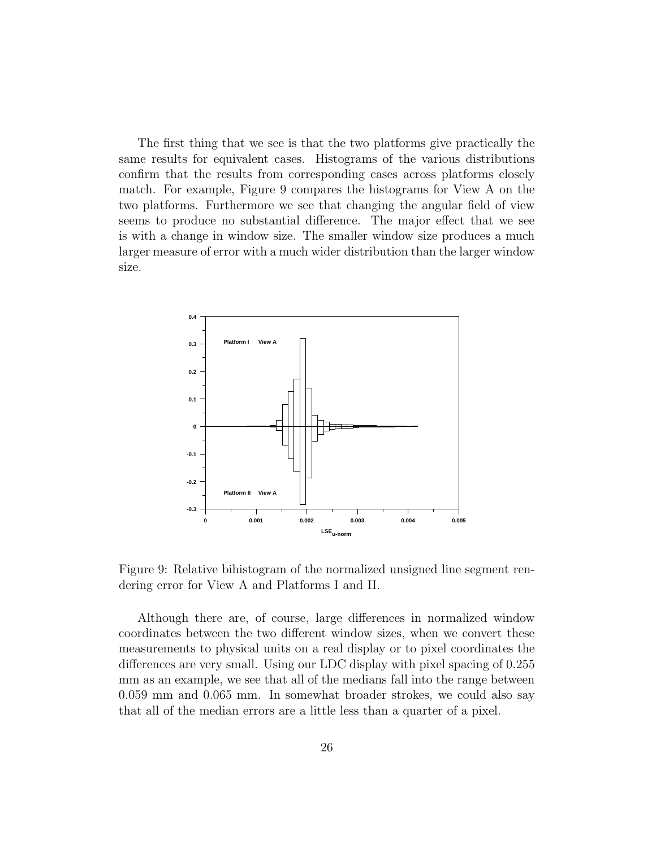The first thing that we see is that the two platforms give practically the same results for equivalent cases. Histograms of the various distributions confirm that the results from corresponding cases across platforms closely match. For example, Figure 9 compares the histograms for View A on the two platforms. Furthermore we see that changing the angular field of view seems to produce no substantial difference. The major effect that we see is with a change in window size. The smaller window size produces a much larger measure of error with a much wider distribution than the larger window size.



Figure 9: Relative bihistogram of the normalized unsigned line segment rendering error for View A and Platforms I and II.

Although there are, of course, large differences in normalized window coordinates between the two different window sizes, when we convert these measurements to physical units on a real display or to pixel coordinates the differences are very small. Using our LDC display with pixel spacing of 0.255 mm as an example, we see that all of the medians fall into the range between 0.059 mm and 0.065 mm. In somewhat broader strokes, we could also say that all of the median errors are a little less than a quarter of a pixel.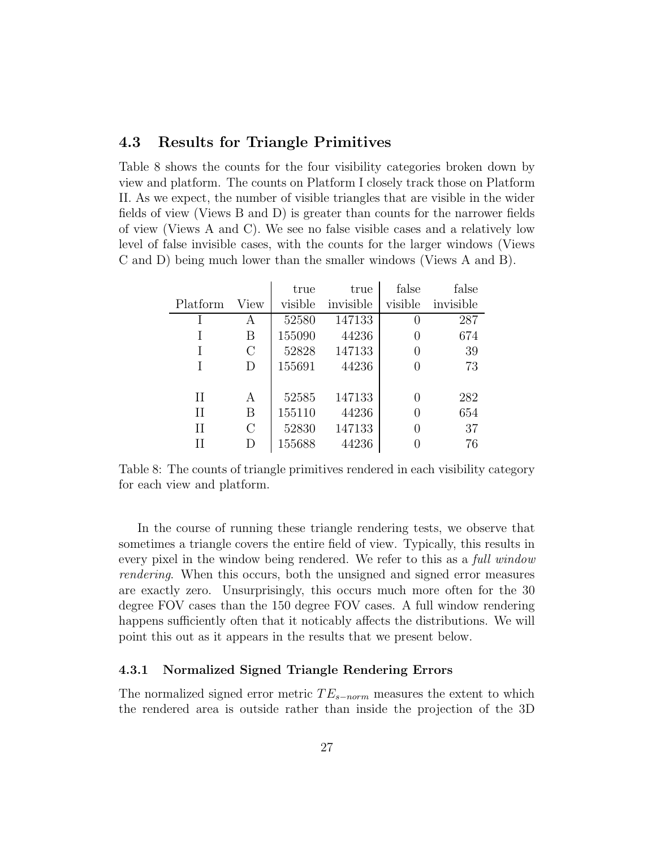#### 4.3 Results for Triangle Primitives

Table 8 shows the counts for the four visibility categories broken down by view and platform. The counts on Platform I closely track those on Platform II. As we expect, the number of visible triangles that are visible in the wider fields of view (Views B and D) is greater than counts for the narrower fields of view (Views A and C). We see no false visible cases and a relatively low level of false invisible cases, with the counts for the larger windows (Views C and D) being much lower than the smaller windows (Views A and B).

|              |                | true    | true      | false            | false     |
|--------------|----------------|---------|-----------|------------------|-----------|
| Platform     | View           | visible | invisible | visible          | invisible |
|              | А              | 52580   | 147133    | $\left( \right)$ | 287       |
|              | B              | 155090  | 44236     | $\left( \right)$ | 674       |
|              | $\rm C$        | 52828   | 147133    | 0                | 39        |
| Ī            | D              | 155691  | 44236     |                  | 73        |
|              |                |         |           |                  |           |
| H            | А              | 52585   | 147133    | 0                | 282       |
| $\mathbf{H}$ | B              | 155110  | 44236     | 0                | 654       |
| П            | $\overline{C}$ | 52830   | 147133    | $\left( \right)$ | 37        |
| Н            | D              | 155688  | 44236     |                  | 76        |

Table 8: The counts of triangle primitives rendered in each visibility category for each view and platform.

In the course of running these triangle rendering tests, we observe that sometimes a triangle covers the entire field of view. Typically, this results in every pixel in the window being rendered. We refer to this as a *full window* rendering. When this occurs, both the unsigned and signed error measures are exactly zero. Unsurprisingly, this occurs much more often for the 30 degree FOV cases than the 150 degree FOV cases. A full window rendering happens sufficiently often that it noticably affects the distributions. We will point this out as it appears in the results that we present below.

#### 4.3.1 Normalized Signed Triangle Rendering Errors

The normalized signed error metric  $TE_{s-norm}$  measures the extent to which the rendered area is outside rather than inside the projection of the 3D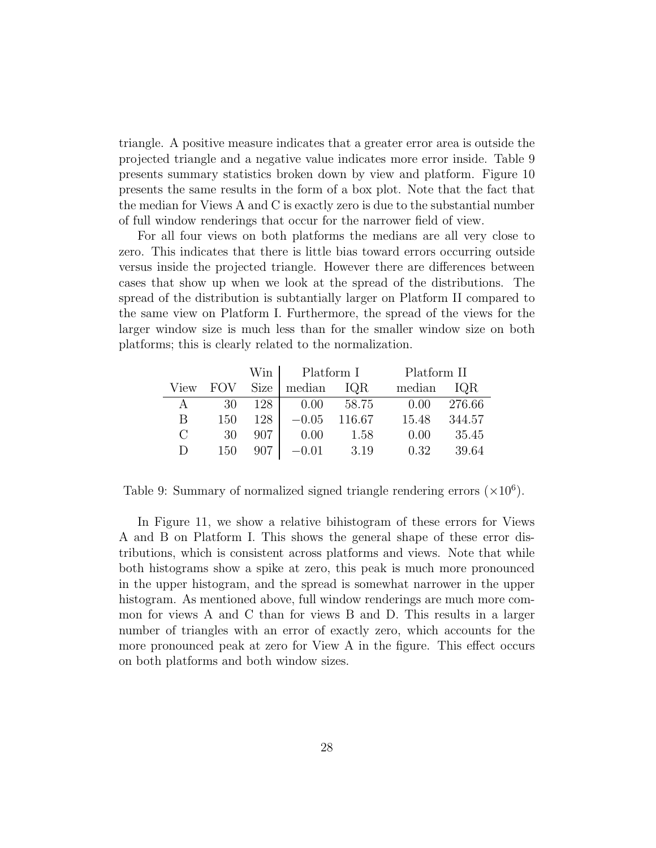triangle. A positive measure indicates that a greater error area is outside the projected triangle and a negative value indicates more error inside. Table 9 presents summary statistics broken down by view and platform. Figure 10 presents the same results in the form of a box plot. Note that the fact that the median for Views A and C is exactly zero is due to the substantial number of full window renderings that occur for the narrower field of view.

For all four views on both platforms the medians are all very close to zero. This indicates that there is little bias toward errors occurring outside versus inside the projected triangle. However there are differences between cases that show up when we look at the spread of the distributions. The spread of the distribution is subtantially larger on Platform II compared to the same view on Platform I. Furthermore, the spread of the views for the larger window size is much less than for the smaller window size on both platforms; this is clearly related to the normalization.

|         |            | Win         | Platform I |        | Platform II |        |
|---------|------------|-------------|------------|--------|-------------|--------|
| View    | <b>FOV</b> | <b>Size</b> | median     | IQR    | median      | IQR    |
| A       | 30         | 128         | 0.00       | 58.75  | 0.00        | 276.66 |
| В       | 150        | 128         | $-0.05$    | 116.67 | 15.48       | 344.57 |
| $\rm C$ | 30         | 907         | 0.00       | 1.58   | 0.00        | 35.45  |
| D       | 150        | 907         | $-0.01$    | 3.19   | 0.32        | 39.64  |

Table 9: Summary of normalized signed triangle rendering errors  $(\times 10^6)$ .

In Figure 11, we show a relative bihistogram of these errors for Views A and B on Platform I. This shows the general shape of these error distributions, which is consistent across platforms and views. Note that while both histograms show a spike at zero, this peak is much more pronounced in the upper histogram, and the spread is somewhat narrower in the upper histogram. As mentioned above, full window renderings are much more common for views A and C than for views B and D. This results in a larger number of triangles with an error of exactly zero, which accounts for the more pronounced peak at zero for View A in the figure. This effect occurs on both platforms and both window sizes.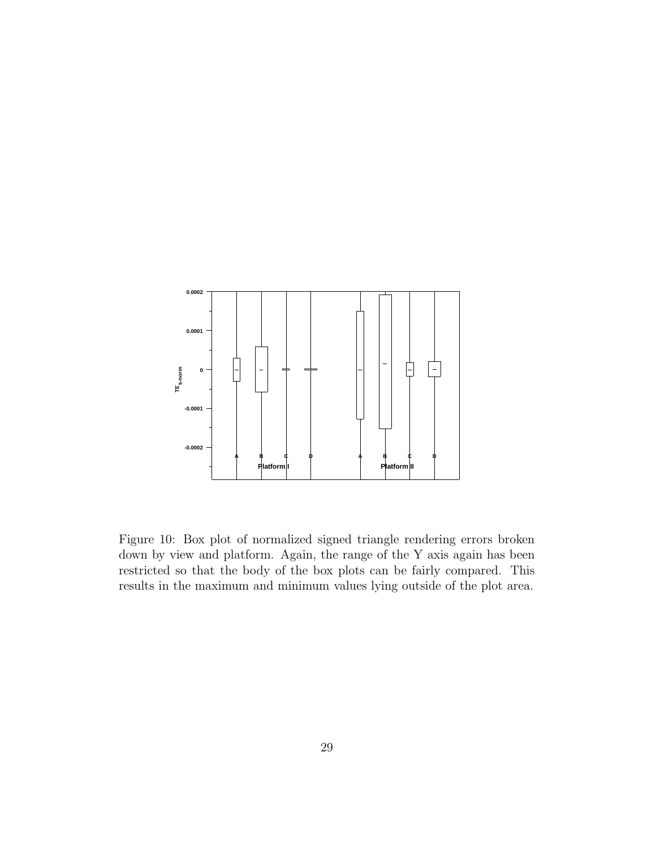

Figure 10: Box plot of normalized signed triangle rendering errors broken down by view and platform. Again, the range of the Y axis again has been restricted so that the body of the box plots can be fairly compared. This results in the maximum and minimum values lying outside of the plot area.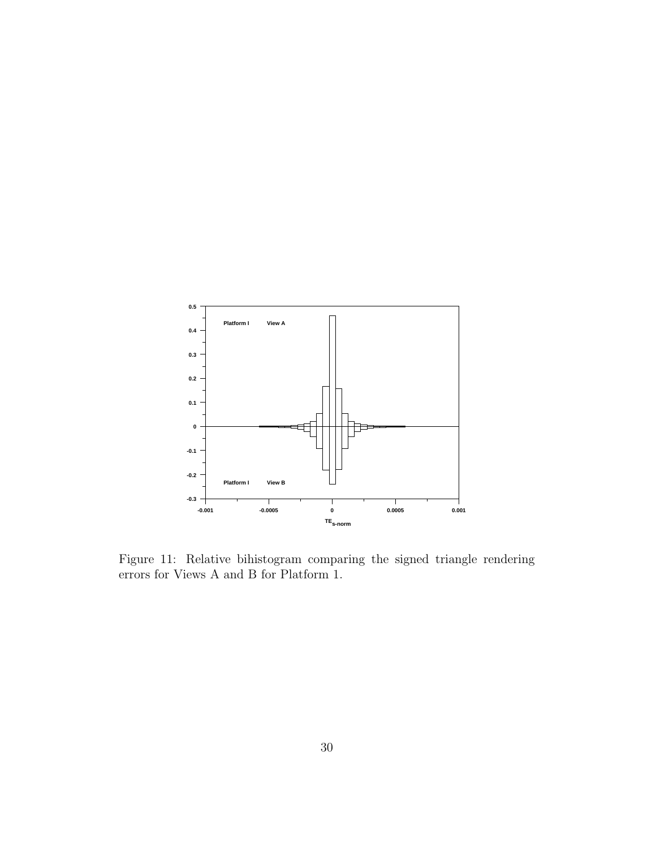

Figure 11: Relative bihistogram comparing the signed triangle rendering errors for Views A and B for Platform 1.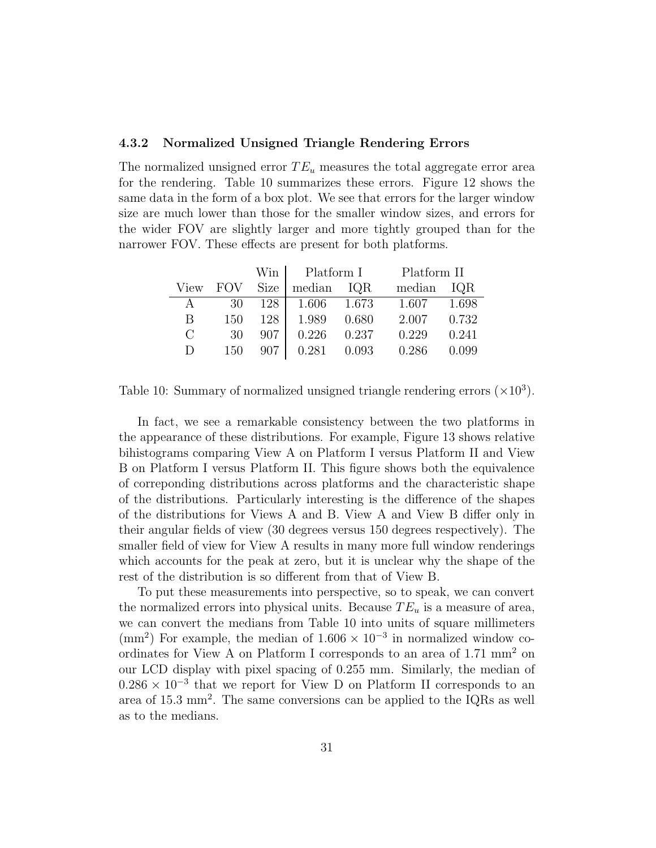#### 4.3.2 Normalized Unsigned Triangle Rendering Errors

The normalized unsigned error  $TE_u$  measures the total aggregate error area for the rendering. Table 10 summarizes these errors. Figure 12 shows the same data in the form of a box plot. We see that errors for the larger window size are much lower than those for the smaller window sizes, and errors for the wider FOV are slightly larger and more tightly grouped than for the narrower FOV. These effects are present for both platforms.

|                       |            | Win  | Platform I        |       | Platform II |       |
|-----------------------|------------|------|-------------------|-------|-------------|-------|
| View                  | <b>FOV</b> | Size | median IQR        |       | median      | IQR   |
| A                     | 30         |      | 128   1.606 1.673 |       | 1.607       | 1.698 |
| B                     | 150        | 128  | 1.989             | 0.680 | 2.007       | 0.732 |
| $\mathcal{C}_{\cdot}$ | 30         | 907  | 0.226             | 0.237 | 0.229       | 0.241 |
| D                     | 150        | 907  | 0.281             | 0.093 | 0.286       | 0.099 |

Table 10: Summary of normalized unsigned triangle rendering errors  $(\times 10^3)$ .

In fact, we see a remarkable consistency between the two platforms in the appearance of these distributions. For example, Figure 13 shows relative bihistograms comparing View A on Platform I versus Platform II and View B on Platform I versus Platform II. This figure shows both the equivalence of correponding distributions across platforms and the characteristic shape of the distributions. Particularly interesting is the difference of the shapes of the distributions for Views A and B. View A and View B differ only in their angular fields of view (30 degrees versus 150 degrees respectively). The smaller field of view for View A results in many more full window renderings which accounts for the peak at zero, but it is unclear why the shape of the rest of the distribution is so different from that of View B.

To put these measurements into perspective, so to speak, we can convert the normalized errors into physical units. Because  $TE_u$  is a measure of area, we can convert the medians from Table 10 into units of square millimeters (mm<sup>2</sup>) For example, the median of  $1.606 \times 10^{-3}$  in normalized window coordinates for View A on Platform I corresponds to an area of 1.71 mm<sup>2</sup> on our LCD display with pixel spacing of 0.255 mm. Similarly, the median of  $0.286 \times 10^{-3}$  that we report for View D on Platform II corresponds to an area of 15.3 mm<sup>2</sup> . The same conversions can be applied to the IQRs as well as to the medians.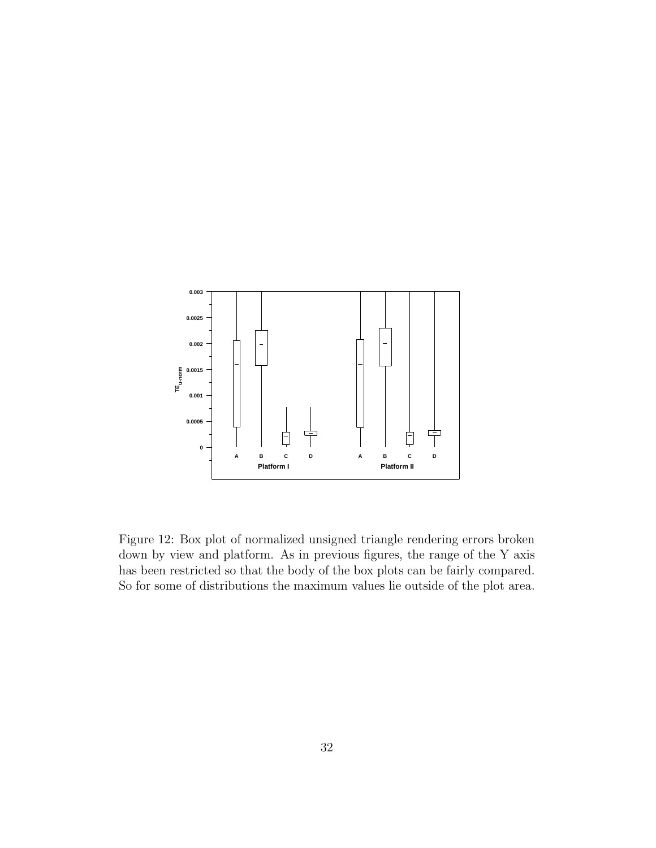

Figure 12: Box plot of normalized unsigned triangle rendering errors broken down by view and platform. As in previous figures, the range of the Y axis has been restricted so that the body of the box plots can be fairly compared. So for some of distributions the maximum values lie outside of the plot area.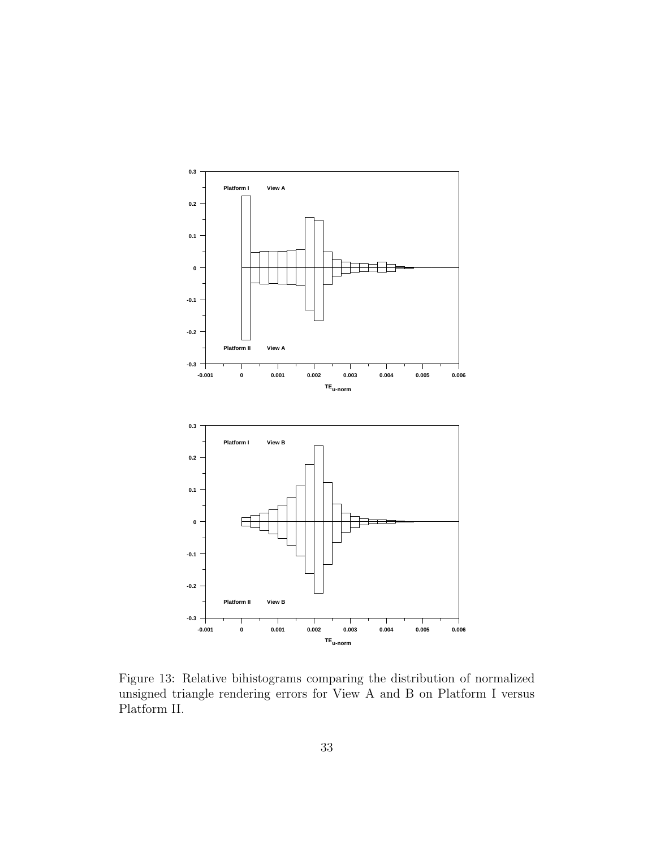

Figure 13: Relative bihistograms comparing the distribution of normalized unsigned triangle rendering errors for View A and B on Platform I versus Platform II.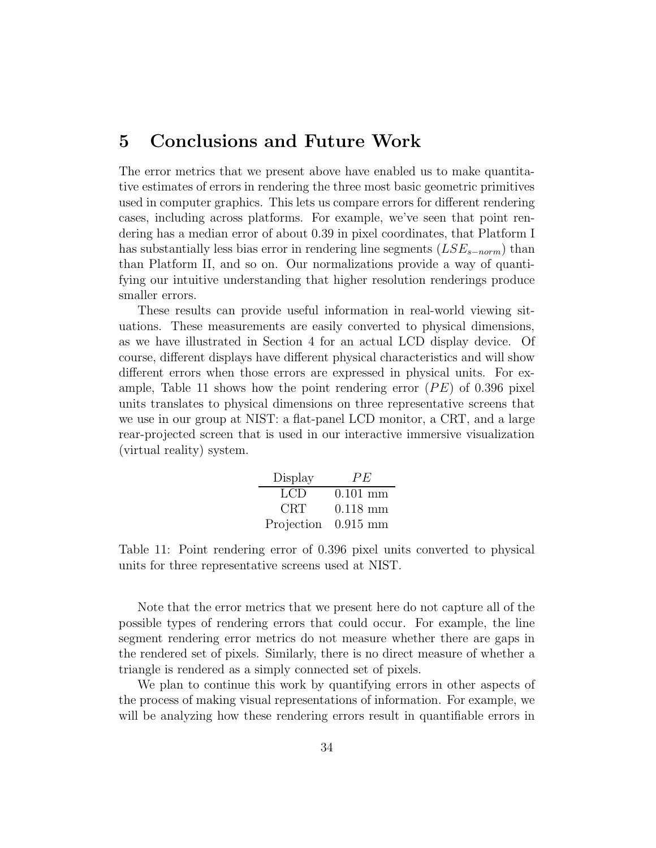### 5 Conclusions and Future Work

The error metrics that we present above have enabled us to make quantitative estimates of errors in rendering the three most basic geometric primitives used in computer graphics. This lets us compare errors for different rendering cases, including across platforms. For example, we've seen that point rendering has a median error of about 0.39 in pixel coordinates, that Platform I has substantially less bias error in rendering line segments  $(LSE_{s-norm})$  than than Platform II, and so on. Our normalizations provide a way of quantifying our intuitive understanding that higher resolution renderings produce smaller errors.

These results can provide useful information in real-world viewing situations. These measurements are easily converted to physical dimensions, as we have illustrated in Section 4 for an actual LCD display device. Of course, different displays have different physical characteristics and will show different errors when those errors are expressed in physical units. For example, Table 11 shows how the point rendering error  $(PE)$  of 0.396 pixel units translates to physical dimensions on three representative screens that we use in our group at NIST: a flat-panel LCD monitor, a CRT, and a large rear-projected screen that is used in our interactive immersive visualization (virtual reality) system.

| Display    | PE         |
|------------|------------|
| LCD        | $0.101$ mm |
| CRT        | $0.118$ mm |
| Projection | $0.915$ mm |

Table 11: Point rendering error of 0.396 pixel units converted to physical units for three representative screens used at NIST.

Note that the error metrics that we present here do not capture all of the possible types of rendering errors that could occur. For example, the line segment rendering error metrics do not measure whether there are gaps in the rendered set of pixels. Similarly, there is no direct measure of whether a triangle is rendered as a simply connected set of pixels.

We plan to continue this work by quantifying errors in other aspects of the process of making visual representations of information. For example, we will be analyzing how these rendering errors result in quantifiable errors in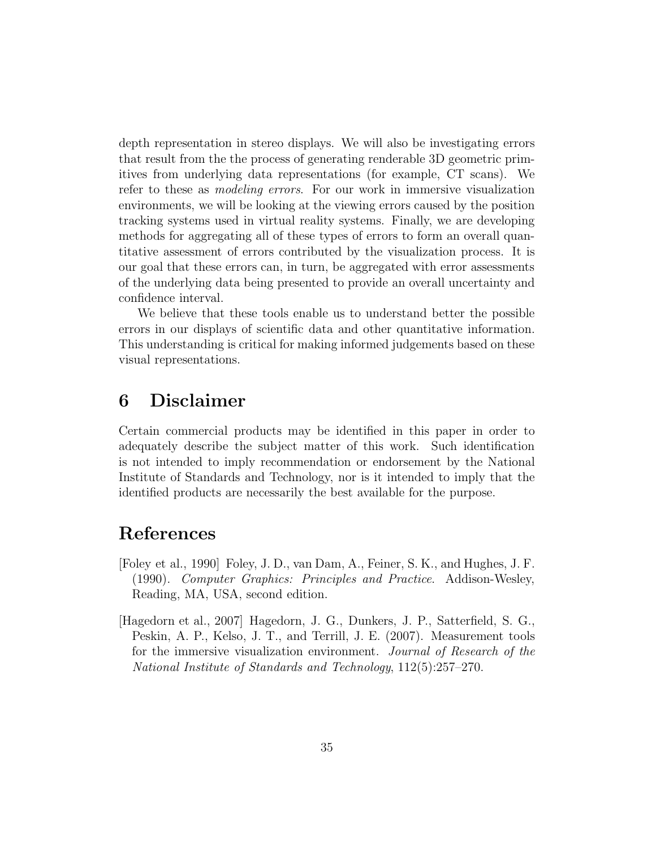depth representation in stereo displays. We will also be investigating errors that result from the the process of generating renderable 3D geometric primitives from underlying data representations (for example, CT scans). We refer to these as modeling errors. For our work in immersive visualization environments, we will be looking at the viewing errors caused by the position tracking systems used in virtual reality systems. Finally, we are developing methods for aggregating all of these types of errors to form an overall quantitative assessment of errors contributed by the visualization process. It is our goal that these errors can, in turn, be aggregated with error assessments of the underlying data being presented to provide an overall uncertainty and confidence interval.

We believe that these tools enable us to understand better the possible errors in our displays of scientific data and other quantitative information. This understanding is critical for making informed judgements based on these visual representations.

## 6 Disclaimer

Certain commercial products may be identified in this paper in order to adequately describe the subject matter of this work. Such identification is not intended to imply recommendation or endorsement by the National Institute of Standards and Technology, nor is it intended to imply that the identified products are necessarily the best available for the purpose.

# References

- [Foley et al., 1990] Foley, J. D., van Dam, A., Feiner, S. K., and Hughes, J. F. (1990). Computer Graphics: Principles and Practice. Addison-Wesley, Reading, MA, USA, second edition.
- [Hagedorn et al., 2007] Hagedorn, J. G., Dunkers, J. P., Satterfield, S. G., Peskin, A. P., Kelso, J. T., and Terrill, J. E. (2007). Measurement tools for the immersive visualization environment. Journal of Research of the National Institute of Standards and Technology, 112(5):257–270.